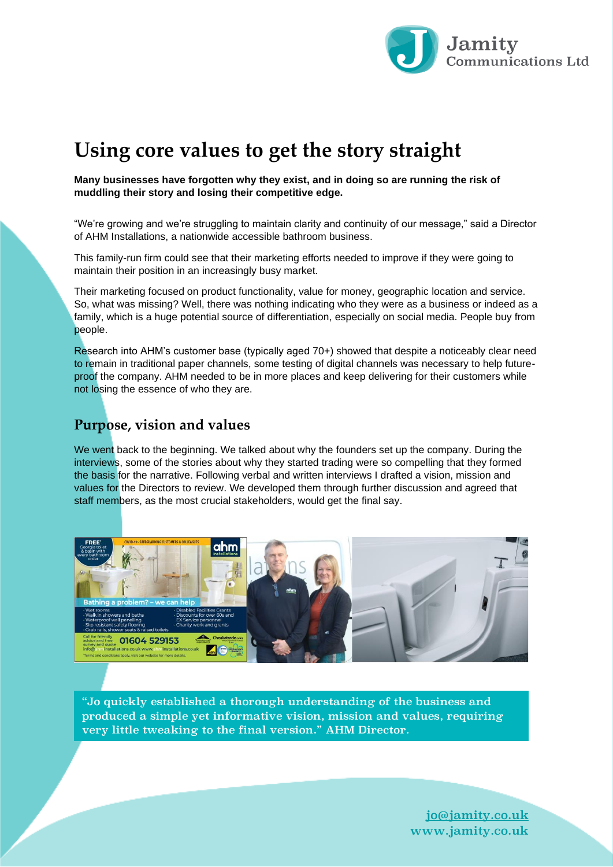

# **Using core values to get the story straight**

**Many businesses have forgotten why they exist, and in doing so are running the risk of muddling their story and losing their competitive edge.**

"We're growing and we're struggling to maintain clarity and continuity of our message," said a Director of AHM Installations, a nationwide accessible bathroom business.

This family-run firm could see that their marketing efforts needed to improve if they were going to maintain their position in an increasingly busy market.

Their marketing focused on product functionality, value for money, geographic location and service. So, what was missing? Well, there was nothing indicating who they were as a business or indeed as a family, which is a huge potential source of differentiation, especially on social media. People buy from people.

Research into AHM's customer base (typically aged 70+) showed that despite a noticeably clear need to remain in traditional paper channels, some testing of digital channels was necessary to help futureproof the company. AHM needed to be in more places and keep delivering for their customers while not losing the essence of who they are.

#### **Purpose, vision and values**

We went back to the beginning. We talked about why the founders set up the company. During the interviews, some of the stories about why they started trading were so compelling that they formed the basis for the narrative. Following verbal and written interviews I drafted a vision, mission and values for the Directors to review. We developed them through further discussion and agreed that staff members, as the most crucial stakeholders, would get the final say.



"Jo quickly established a thorough understanding of the business and produced a simple yet informative vision, mission and values, requiring very little tweaking to the final version." AHM Director.

> [jo@jamity.co.uk](mailto:jo@jamity.co.uk) www.jamity.co.uk